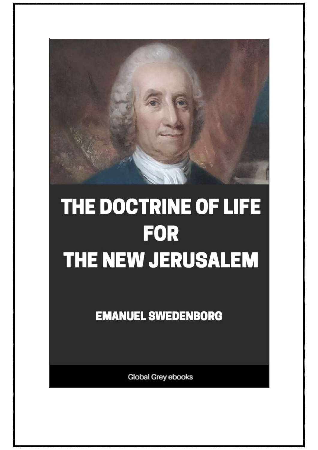

# THE DOCTRINE OF LIFE **FOR** THE NEW JERUSALEM

**EMANUEL SWEDENBORG** 

**Global Grey ebooks**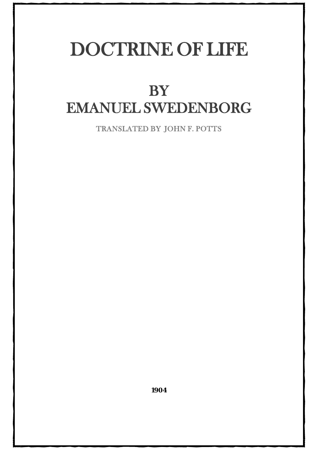## DOCTRINE OF LIFE

### **BY** EMANUEL SWEDENBORG

TRANSLATED BY JOHN F. POTTS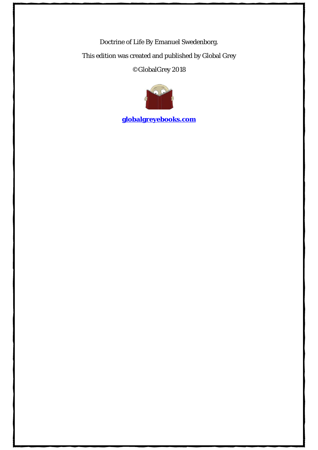Doctrine of Life By Emanuel Swedenborg. This edition was created and published by Global Grey ©GlobalGrey 2018



**[globalgreyebooks.com](https://www.globalgreyebooks.com/)**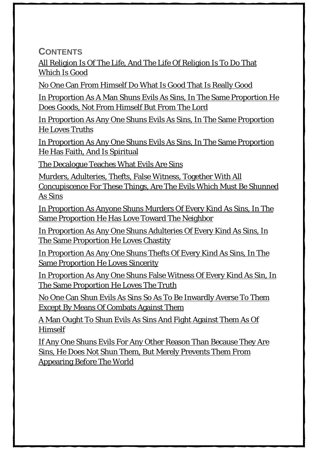**CONTENTS**

[All Religion Is Of The Life, And The Life Of Religion Is To Do That](#page-4-0)  Which [Is Good](#page-4-0)

[No One Can From Himself Do What Is Good That Is Really Good](#page-10-0)

[In Proportion As A Man Shuns Evils As Sins, In The Same Proportion He](#page-14-0)  [Does Goods, Not From Himself But From The Lord](#page-14-0)

[In Proportion As Any One Shuns Evils As Sins, In The Same Proportion](#page-20-0)  [He Loves Truths](#page-20-0)

[In Proportion As Any One Shuns Evils As Sins, In The Same Proportion](#page-24-0)  [He Has Faith, And Is Spiritual](#page-24-0)

[The Decalogue Teaches What Evils Are Sins](#page-29-0)

[Murders, Adulteries, Thefts, False Witness, Together With All](#page-34-0)  [Concupiscence For These Things, Are The Evils Which Must Be Shunned](#page-34-0)  [As Sins](#page-34-0)

[In Proportion As Anyone Shuns Murders Of Every Kind As Sins, In The](#page-37-0)  [Same Proportion He Has Love Toward The Neighbor](#page-37-0)

[In Proportion As Any One Shuns Adulteries Of Every Kind As Sins, In](#page-40-0)  [The Same Proportion He Loves Chastity](#page-40-0)

[In Proportion As Any One Shuns Thefts Of Every Kind As Sins, In The](#page-44-0)  [Same Proportion He Loves Sincerity](#page-44-0)

[In Proportion As Any One Shuns False Witness Of Every Kind As Sin, In](#page-48-0)  [The Same Proportion He Loves The Truth](#page-48-0)

[No One Can Shun Evils As Sins So As To Be Inwardly Averse To Them](#page-51-0)  [Except By Means Of Combats Against Them](#page-51-0)

[A Man Ought To Shun Evils As Sins And Fight Against Them As Of](#page-54-0)  [Himself](#page-54-0)

[If Any One Shuns Evils For Any Other Reason Than Because They Are](#page-57-0)  [Sins, He Does Not Shun Them, But Merely Prevents Them From](#page-57-0)  [Appearing Before The World](#page-57-0)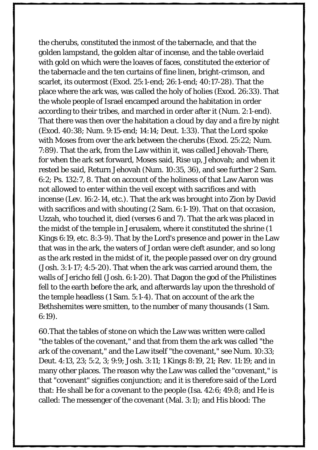the cherubs, constituted the inmost of the tabernacle, and that the golden lampstand, the golden altar of incense, and the table overlaid with gold on which were the loaves of faces, constituted the exterior of the tabernacle and the ten curtains of fine linen, bright-crimson, and scarlet, its outermost (Exod. 25:1-end; 26:1-end; 40:17-28). That the place where the ark was, was called the holy of holies (Exod. 26:33). That the whole people of Israel encamped around the habitation in order according to their tribes, and marched in order after it (Num. 2:1-end). That there was then over the habitation a cloud by day and a fire by night (Exod. 40:38; Num. 9:15-end; 14:14; Deut. 1:33). That the Lord spoke with Moses from over the ark between the cherubs (Exod. 25:22; Num. 7:89). That the ark, from the Law within it, was called Jehovah-There, for when the ark set forward, Moses said, Rise up, Jehovah; and when it rested be said, Return Jehovah (Num. 10:35, 36), and see further 2 Sam. 6:2; Ps. 132:7, 8. That on account of the holiness of that Law Aaron was not allowed to enter within the veil except with sacrifices and with incense (Lev. 16:2-14, etc.). That the ark was brought into Zion by David with sacrifices and with shouting (2 Sam. 6:1-19). That on that occasion, Uzzah, who touched it, died (verses 6 and 7). That the ark was placed in the midst of the temple in Jerusalem, where it constituted the shrine (1 Kings 6:19, etc. 8:3-9). That by the Lord's presence and power in the Law that was in the ark, the waters of Jordan were cleft asunder, and so long as the ark rested in the midst of it, the people passed over on dry ground (Josh. 3:1-17; 4:5-20). That when the ark was carried around them, the walls of Jericho fell (Josh. 6:1-20). That Dagon the god of the Philistines fell to the earth before the ark, and afterwards lay upon the threshold of the temple headless (1 Sam. 5:1-4). That on account of the ark the Bethshemites were smitten, to the number of many thousands (1 Sam. 6:19).

60.That the tables of stone on which the Law was written were called "the tables of the covenant," and that from them the ark was called "the ark of the covenant," and the Law itself "the covenant," see Num. 10:33; Deut. 4:13, 23; 5:2, 3; 9:9; Josh. 3:11; 1 Kings 8:19, 21; Rev. 11:19; and in many other places. The reason why the Law was called the "covenant," is that "covenant" signifies conjunction; and it is therefore said of the Lord that: He shall be for a covenant to the people (Isa. 42:6; 49:8; and He is called: The messenger of the covenant (Mal. 3:1); and His blood: The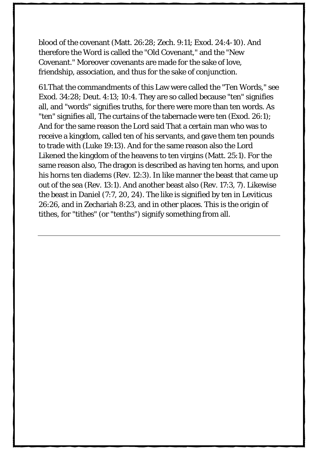blood of the covenant (Matt. 26:28; Zech. 9:11; Exod. 24:4-10). And therefore the Word is called the "Old Covenant," and the "New Covenant." Moreover covenants are made for the sake of love, friendship, association, and thus for the sake of conjunction.

61.That the commandments of this Law were called the "Ten Words," see Exod. 34:28; Deut. 4:13; 10:4. They are so called because "ten" signifies all, and "words" signifies truths, for there were more than ten words. As "ten" signifies all, The curtains of the tabernacle were ten (Exod. 26:1); And for the same reason the Lord said That a certain man who was to receive a kingdom, called ten of his servants, and gave them ten pounds to trade with (Luke 19:13). And for the same reason also the Lord Likened the kingdom of the heavens to ten virgins (Matt. 25:1). For the same reason also, The dragon is described as having ten horns, and upon his horns ten diadems (Rev. 12:3). In like manner the beast that came up out of the sea (Rev. 13:1). And another beast also (Rev. 17:3, 7). Likewise the beast in Daniel (7:7, 20, 24). The like is signified by ten in Leviticus 26:26, and in Zechariah 8:23, and in other places. This is the origin of tithes, for "tithes" (or "tenths") signify something from all.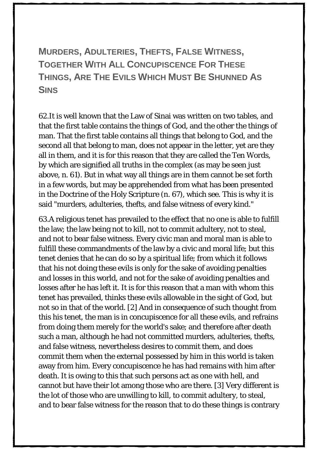#### <span id="page-34-0"></span>**MURDERS, ADULTERIES, THEFTS, FALSE WITNESS, TOGETHER WITH ALL CONCUPISCENCE FOR THESE THINGS, ARE THE EVILS WHICH MUST BE SHUNNED AS SINS**

62.It is well known that the Law of Sinai was written on two tables, and that the first table contains the things of God, and the other the things of man. That the first table contains all things that belong to God, and the second all that belong to man, does not appear in the letter, yet are they all in them, and it is for this reason that they are called the Ten Words, by which are signified all truths in the complex (as may be seen just above, n. 61). But in what way all things are in them cannot be set forth in a few words, but may be apprehended from what has been presented in the Doctrine of the Holy Scripture (n. 67), which see. This is why it is said "murders, adulteries, thefts, and false witness of every kind."

63.A religious tenet has prevailed to the effect that no one is able to fulfill the law; the law being not to kill, not to commit adultery, not to steal, and not to bear false witness. Every civic man and moral man is able to fulfill these commandments of the law by a civic and moral life; but this tenet denies that he can do so by a spiritual life; from which it follows that his not doing these evils is only for the sake of avoiding penalties and losses in this world, and not for the sake of avoiding penalties and losses after he has left it. It is for this reason that a man with whom this tenet has prevailed, thinks these evils allowable in the sight of God, but not so in that of the world. [2] And in consequence of such thought from this his tenet, the man is in concupiscence for all these evils, and refrains from doing them merely for the world's sake; and therefore after death such a man, although he had not committed murders, adulteries, thefts, and false witness, nevertheless desires to commit them, and does commit them when the external possessed by him in this world is taken away from him. Every concupiscence he has had remains with him after death. It is owing to this that such persons act as one with hell, and cannot but have their lot among those who are there. [3] Very different is the lot of those who are unwilling to kill, to commit adultery, to steal, and to bear false witness for the reason that to do these things is contrary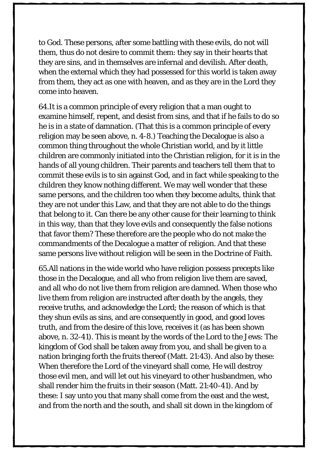to God. These persons, after some battling with these evils, do not will them, thus do not desire to commit them: they say in their hearts that they are sins, and in themselves are infernal and devilish. After death, when the external which they had possessed for this world is taken away from them, they act as one with heaven, and as they are in the Lord they come into heaven.

64.It is a common principle of every religion that a man ought to examine himself, repent, and desist from sins, and that if he fails to do so he is in a state of damnation. (That this is a common principle of every religion may be seen above, n. 4-8.) Teaching the Decalogue is also a common thing throughout the whole Christian world, and by it little children are commonly initiated into the Christian religion, for it is in the hands of all young children. Their parents and teachers tell them that to commit these evils is to sin against God, and in fact while speaking to the children they know nothing different. We may well wonder that these same persons, and the children too when they become adults, think that they are not under this Law, and that they are not able to do the things that belong to it. Can there be any other cause for their learning to think in this way, than that they love evils and consequently the false notions that favor them? These therefore are the people who do not make the commandments of the Decalogue a matter of religion. And that these same persons live without religion will be seen in the Doctrine of Faith.

65.All nations in the wide world who have religion possess precepts like those in the Decalogue, and all who from religion live them are saved, and all who do not live them from religion are damned. When those who live them from religion are instructed after death by the angels, they receive truths, and acknowledge the Lord; the reason of which is that they shun evils as sins, and are consequently in good, and good loves truth, and from the desire of this love, receives it (as has been shown above, n. 32-41). This is meant by the words of the Lord to the Jews: The kingdom of God shall be taken away from you, and shall be given to a nation bringing forth the fruits thereof (Matt. 21:43). And also by these: When therefore the Lord of the vineyard shall come, He will destroy those evil men, and will let out his vineyard to other husbandmen, who shall render him the fruits in their season (Matt. 21:40-41). And by these: I say unto you that many shall come from the east and the west, and from the north and the south, and shall sit down in the kingdom of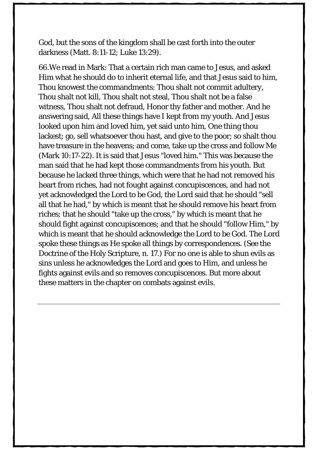God, but the sons of the kingdom shall be cast forth into the outer darkness (Matt. 8:11-12; Luke 13:29).

66.We read in Mark: That a certain rich man came to Jesus, and asked Him what he should do to inherit eternal life, and that Jesus said to him, Thou knowest the commandments: Thou shalt not commit adultery, Thou shalt not kill, Thou shalt not steal, Thou shalt not be a false witness, Thou shalt not defraud, Honor thy father and mother. And he answering said, All these things have I kept from my youth. And Jesus looked upon him and loved him, yet said unto him, One thing thou lackest; go, sell whatsoever thou hast, and give to the poor; so shalt thou have treasure in the heavens; and come, take up the cross and follow Me (Mark 10:17-22). It is said that Jesus "loved him." This was because the man said that he had kept those commandments from his youth. But because he lacked three things, which were that he had not removed his heart from riches, had not fought against concupiscences, and had not yet acknowledged the Lord to be God, the Lord said that he should "sell all that he had," by which is meant that he should remove his heart from riches; that he should "take up the cross," by which is meant that he should fight against concupiscences; and that he should "follow Him," by which is meant that he should acknowledge the Lord to be God. The Lord spoke these things as He spoke all things by correspondences. (See the Doctrine of the Holy Scripture, n. 17.) For no one is able to shun evils as sins unless he acknowledges the Lord and goes to Him, and unless he fights against evils and so removes concupiscences. But more about these matters in the chapter on combats against evils.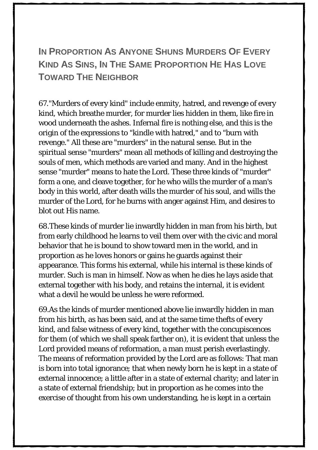#### <span id="page-37-0"></span>**IN PROPORTION AS ANYONE SHUNS MURDERS OF EVERY KIND AS SINS, IN THE SAME PROPORTION HE HAS LOVE TOWARD THE NEIGHBOR**

67."Murders of every kind" include enmity, hatred, and revenge of every kind, which breathe murder, for murder lies hidden in them, like fire in wood underneath the ashes. Infernal fire is nothing else, and this is the origin of the expressions to "kindle with hatred," and to "burn with revenge." All these are "murders" in the natural sense. But in the spiritual sense "murders" mean all methods of killing and destroying the souls of men, which methods are varied and many. And in the highest sense "murder" means to hate the Lord. These three kinds of "murder" form a one, and cleave together, for he who wills the murder of a man's body in this world, after death wills the murder of his soul, and wills the murder of the Lord, for he burns with anger against Him, and desires to blot out His name.

68.These kinds of murder lie inwardly hidden in man from his birth, but from early childhood he learns to veil them over with the civic and moral behavior that he is bound to show toward men in the world, and in proportion as he loves honors or gains he guards against their appearance. This forms his external, while his internal is these kinds of murder. Such is man in himself. Now as when he dies he lays aside that external together with his body, and retains the internal, it is evident what a devil he would be unless he were reformed.

69.As the kinds of murder mentioned above lie inwardly hidden in man from his birth, as has been said, and at the same time thefts of every kind, and false witness of every kind, together with the concupiscences for them (of which we shall speak farther on), it is evident that unless the Lord provided means of reformation, a man must perish everlastingly. The means of reformation provided by the Lord are as follows: That man is born into total ignorance; that when newly born he is kept in a state of external innocence; a little after in a state of external charity; and later in a state of external friendship; but in proportion as he comes into the exercise of thought from his own understanding, he is kept in a certain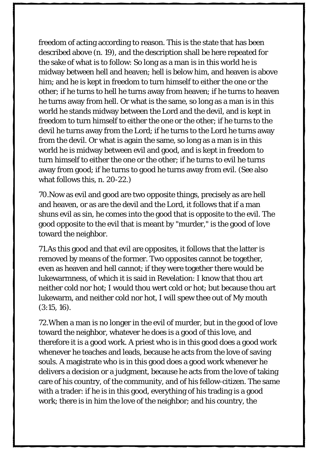freedom of acting according to reason. This is the state that has been described above (n. 19), and the description shall be here repeated for the sake of what is to follow: So long as a man is in this world he is midway between hell and heaven; hell is below him, and heaven is above him; and he is kept in freedom to turn himself to either the one or the other; if he turns to hell he turns away from heaven; if he turns to heaven he turns away from hell. Or what is the same, so long as a man is in this world he stands midway between the Lord and the devil, and is kept in freedom to turn himself to either the one or the other; if he turns to the devil he turns away from the Lord; if he turns to the Lord he turns away from the devil. Or what is again the same, so long as a man is in this world he is midway between evil and good, and is kept in freedom to turn himself to either the one or the other; if he turns to evil he turns away from good; if he turns to good he turns away from evil. (See also what follows this, n. 20-22.)

70.Now as evil and good are two opposite things, precisely as are hell and heaven, or as are the devil and the Lord, it follows that if a man shuns evil as sin, he comes into the good that is opposite to the evil. The good opposite to the evil that is meant by "murder," is the good of love toward the neighbor.

71.As this good and that evil are opposites, it follows that the latter is removed by means of the former. Two opposites cannot be together, even as heaven and hell cannot; if they were together there would be lukewarmness, of which it is said in Revelation: I know that thou art neither cold nor hot; I would thou wert cold or hot; but because thou art lukewarm, and neither cold nor hot, I will spew thee out of My mouth (3:15, 16).

72.When a man is no longer in the evil of murder, but in the good of love toward the neighbor, whatever he does is a good of this love, and therefore it is a good work. A priest who is in this good does a good work whenever he teaches and leads, because he acts from the love of saving souls. A magistrate who is in this good does a good work whenever he delivers a decision or a judgment, because he acts from the love of taking care of his country, of the community, and of his fellow-citizen. The same with a trader: if he is in this good, everything of his trading is a good work; there is in him the love of the neighbor; and his country, the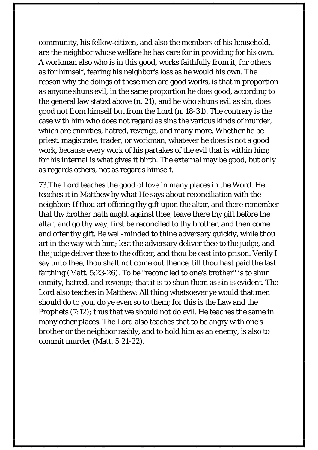community, his fellow-citizen, and also the members of his household, are the neighbor whose welfare he has care for in providing for his own. A workman also who is in this good, works faithfully from it, for others as for himself, fearing his neighbor's loss as he would his own. The reason why the doings of these men are good works, is that in proportion as anyone shuns evil, in the same proportion he does good, according to the general law stated above (n. 21), and he who shuns evil as sin, does good not from himself but from the Lord (n. 18-31). The contrary is the case with him who does not regard as sins the various kinds of murder, which are enmities, hatred, revenge, and many more. Whether he be priest, magistrate, trader, or workman, whatever he does is not a good work, because every work of his partakes of the evil that is within him; for his internal is what gives it birth. The external may be good, but only as regards others, not as regards himself.

73.The Lord teaches the good of love in many places in the Word. He teaches it in Matthew by what He says about reconciliation with the neighbor: If thou art offering thy gift upon the altar, and there remember that thy brother hath aught against thee, leave there thy gift before the altar, and go thy way, first be reconciled to thy brother, and then come and offer thy gift. Be well-minded to thine adversary quickly, while thou art in the way with him; lest the adversary deliver thee to the judge, and the judge deliver thee to the officer, and thou be cast into prison. Verily I say unto thee, thou shalt not come out thence, till thou hast paid the last farthing (Matt. 5:23-26). To be "reconciled to one's brother" is to shun enmity, hatred, and revenge; that it is to shun them as sin is evident. The Lord also teaches in Matthew: All thing whatsoever ye would that men should do to you, do ye even so to them; for this is the Law and the Prophets (7:12); thus that we should not do evil. He teaches the same in many other places. The Lord also teaches that to be angry with one's brother or the neighbor rashly, and to hold him as an enemy, is also to commit murder (Matt. 5:21-22).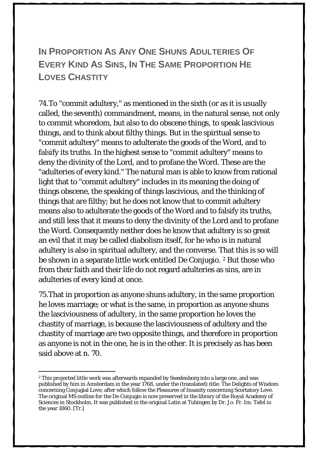#### <span id="page-40-0"></span>**IN PROPORTION AS ANY ONE SHUNS ADULTERIES OF EVERY KIND AS SINS, IN THE SAME PROPORTION HE LOVES CHASTITY**

74.To "commit adultery," as mentioned in the sixth (or as it is usually called, the seventh) commandment, means, in the natural sense, not only to commit whoredom, but also to do obscene things, to speak lascivious things, and to think about filthy things. But in the spiritual sense to "commit adultery" means to adulterate the goods of the Word, and to falsify its truths. In the highest sense to "commit adultery" means to deny the divinity of the Lord, and to profane the Word. These are the "adulteries of every kind." The natural man is able to know from rational light that to "commit adultery" includes in its meaning the doing of things obscene, the speaking of things lascivious, and the thinking of things that are filthy; but he does not know that to commit adultery means also to adulterate the goods of the Word and to falsify its truths, and still less that it means to deny the divinity of the Lord and to profane the Word. Consequently neither does he know that adultery is so great an evil that it may be called diabolism itself, for he who is in natural adultery is also in spiritual adultery, and the converse. That this is so will be shown in a separate little work entitled De Conjugio. [2](#page-40-1) But those who from their faith and their life do not regard adulteries as sins, are in adulteries of every kind at once.

75.That in proportion as anyone shuns adultery, in the same proportion he loves marriage; or what is the same, in proportion as anyone shuns the lasciviousness of adultery, in the same proportion he loves the chastity of marriage, is because the lasciviousness of adultery and the chastity of marriage are two opposite things, and therefore in proportion as anyone is not in the one, he is in the other. It is precisely as has been said above at n. 70.

<span id="page-40-1"></span><sup>-</sup> $^{\rm 2}$  This projected little work was afterwards expanded by Swedenborg into a large one, and was published by him in Amsterdam in the year 1768, under the (translated) title: The Delights of Wisdom concerning Conjugial Love; after which follow the Pleasures of Insanity concerning Scortatory Love. The original MS outline for the De Conjugio is now preserved in the library of the Royal Academy of Sciences in Stockholm. It was published in the original Latin at Tubingen by Dr. Jo. Fr. Im. Tafel in the year 1860. [Tr.]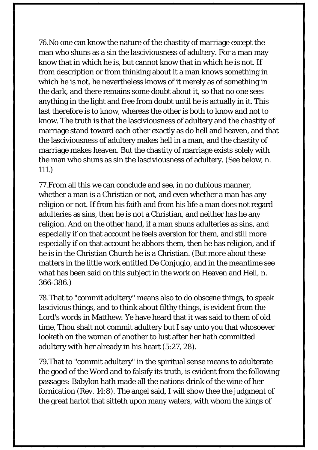76.No one can know the nature of the chastity of marriage except the man who shuns as a sin the lasciviousness of adultery. For a man may know that in which he is, but cannot know that in which he is not. If from description or from thinking about it a man knows something in which he is not, he nevertheless knows of it merely as of something in the dark, and there remains some doubt about it, so that no one sees anything in the light and free from doubt until he is actually in it. This last therefore is to know, whereas the other is both to know and not to know. The truth is that the lasciviousness of adultery and the chastity of marriage stand toward each other exactly as do hell and heaven, and that the lasciviousness of adultery makes hell in a man, and the chastity of marriage makes heaven. But the chastity of marriage exists solely with the man who shuns as sin the lasciviousness of adultery. (See below, n. 111.)

77.From all this we can conclude and see, in no dubious manner, whether a man is a Christian or not, and even whether a man has any religion or not. If from his faith and from his life a man does not regard adulteries as sins, then he is not a Christian, and neither has he any religion. And on the other hand, if a man shuns adulteries as sins, and especially if on that account he feels aversion for them, and still more especially if on that account he abhors them, then he has religion, and if he is in the Christian Church he is a Christian. (But more about these matters in the little work entitled De Conjugio, and in the meantime see what has been said on this subject in the work on Heaven and Hell, n. 366-386.)

78.That to "commit adultery" means also to do obscene things, to speak lascivious things, and to think about filthy things, is evident from the Lord's words in Matthew: Ye have heard that it was said to them of old time, Thou shalt not commit adultery but I say unto you that whosoever looketh on the woman of another to lust after her hath committed adultery with her already in his heart (5:27, 28).

79.That to "commit adultery" in the spiritual sense means to adulterate the good of the Word and to falsify its truth, is evident from the following passages: Babylon hath made all the nations drink of the wine of her fornication (Rev. 14:8). The angel said, I will show thee the judgment of the great harlot that sitteth upon many waters, with whom the kings of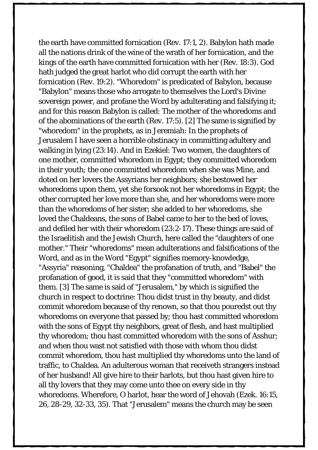the earth have committed fornication (Rev. 17:1, 2). Babylon hath made all the nations drink of the wine of the wrath of her fornication, and the kings of the earth have committed fornication with her (Rev. 18:3). God hath judged the great harlot who did corrupt the earth with her fornication (Rev. 19:2). "Whoredom" is predicated of Babylon, because "Babylon" means those who arrogate to themselves the Lord's Divine sovereign power, and profane the Word by adulterating and falsifying it; and for this reason Babylon is called: The mother of the whoredoms and of the abominations of the earth (Rev. 17:5). [2] The same is signified by "whoredom" in the prophets, as in Jeremiah: In the prophets of Jerusalem I have seen a horrible obstinacy in committing adultery and walking in lying (23:14). And in Ezekiel: Two women, the daughters of one mother, committed whoredom in Egypt; they committed whoredom in their youth; the one committed whoredom when she was Mine, and doted on her lovers the Assyrians her neighbors; she bestowed her whoredoms upon them, yet she forsook not her whoredoms in Egypt; the other corrupted her love more than she, and her whoredoms were more than the whoredoms of her sister; she added to her whoredoms, she loved the Chaldeans, the sons of Babel came to her to the bed of loves, and defiled her with their whoredom (23:2-17). These things are said of the Israelitish and the Jewish Church, here called the "daughters of one mother." Their "whoredoms" mean adulterations and falsifications of the Word, and as in the Word "Egypt" signifies memory-knowledge, "Assyria" reasoning, "Chaldea" the profanation of truth, and "Babel" the profanation of good, it is said that they "committed whoredom" with them. [3] The same is said of "Jerusalem," by which is signified the church in respect to doctrine: Thou didst trust in thy beauty, and didst commit whoredom because of thy renown, so that thou pouredst out thy whoredoms on everyone that passed by; thou hast committed whoredom with the sons of Egypt thy neighbors, great of flesh, and hast multiplied thy whoredom; thou hast committed whoredom with the sons of Asshur; and when thou wast not satisfied with those with whom thou didst commit whoredom, thou hast multiplied thy whoredoms unto the land of traffic, to Chaldea. An adulterous woman that receiveth strangers instead of her husband! All give hire to their harlots, but thou hast given hire to all thy lovers that they may come unto thee on every side in thy whoredoms. Wherefore, O harlot, hear the word of Jehovah (Ezek. 16:15, 26, 28-29, 32-33, 35). That "Jerusalem" means the church may be seen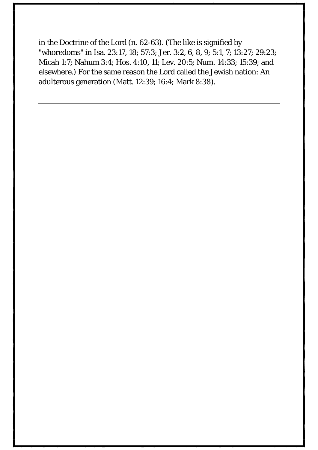in the Doctrine of the Lord (n. 62-63). (The like is signified by "whoredoms" in Isa. 23:17, 18; 57:3; Jer. 3:2, 6, 8, 9; 5:1, 7; 13:27; 29:23; Micah 1:7; Nahum 3:4; Hos. 4:10, 11; Lev. 20:5; Num. 14:33; 15:39; and elsewhere.) For the same reason the Lord called the Jewish nation: An adulterous generation (Matt. 12:39; 16:4; Mark 8:38).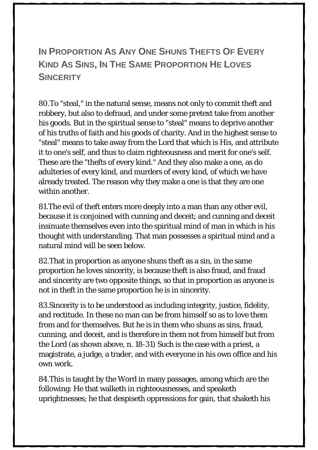#### <span id="page-44-0"></span>**IN PROPORTION AS ANY ONE SHUNS THEFTS OF EVERY KIND AS SINS, IN THE SAME PROPORTION HE LOVES SINCERITY**

80.To "steal," in the natural sense, means not only to commit theft and robbery, but also to defraud, and under some pretext take from another his goods. But in the spiritual sense to "steal" means to deprive another of his truths of faith and his goods of charity. And in the highest sense to "steal" means to take away from the Lord that which is His, and attribute it to one's self, and thus to claim righteousness and merit for one's self. These are the "thefts of every kind." And they also make a one, as do adulteries of every kind, and murders of every kind, of which we have already treated. The reason why they make a one is that they are one within another.

81.The evil of theft enters more deeply into a man than any other evil, because it is conjoined with cunning and deceit; and cunning and deceit insinuate themselves even into the spiritual mind of man in which is his thought with understanding. That man possesses a spiritual mind and a natural mind will be seen below.

82.That in proportion as anyone shuns theft as a sin, in the same proportion he loves sincerity, is because theft is also fraud, and fraud and sincerity are two opposite things, so that in proportion as anyone is not in theft in the same proportion he is in sincerity.

83.Sincerity is to be understood as including integrity, justice, fidelity, and rectitude. In these no man can be from himself so as to love them from and for themselves. But he is in them who shuns as sins, fraud, cunning, and deceit, and is therefore in them not from himself but from the Lord (as shown above, n. 18-31) Such is the case with a priest, a magistrate, a judge, a trader, and with everyone in his own office and his own work.

84.This is taught by the Word in many passages, among which are the following: He that walketh in righteousnesses, and speaketh uprightnesses; he that despiseth oppressions for gain, that shaketh his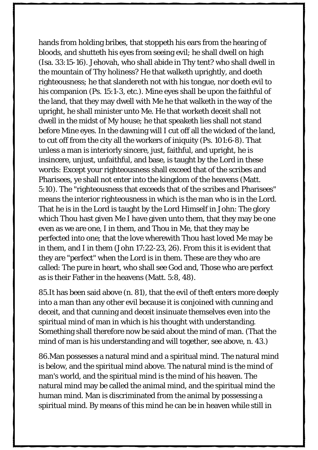hands from holding bribes, that stoppeth his ears from the hearing of bloods, and shutteth his eyes from seeing evil; he shall dwell on high (Isa. 33:15-16). Jehovah, who shall abide in Thy tent? who shall dwell in the mountain of Thy holiness? He that walketh uprightly, and doeth righteousness; he that slandereth not with his tongue, nor doeth evil to his companion (Ps. 15:1-3, etc.). Mine eyes shall be upon the faithful of the land, that they may dwell with Me he that walketh in the way of the upright, he shall minister unto Me. He that worketh deceit shall not dwell in the midst of My house; he that speaketh lies shall not stand before Mine eyes. In the dawning will I cut off all the wicked of the land, to cut off from the city all the workers of iniquity (Ps. 101:6-8). That unless a man is interiorly sincere, just, faithful, and upright, he is insincere, unjust, unfaithful, and base, is taught by the Lord in these words: Except your righteousness shall exceed that of the scribes and Pharisees, ye shall not enter into the kingdom of the heavens (Matt. 5:10). The "righteousness that exceeds that of the scribes and Pharisees" means the interior righteousness in which is the man who is in the Lord. That he is in the Lord is taught by the Lord Himself in John: The glory which Thou hast given Me I have given unto them, that they may be one even as we are one, I in them, and Thou in Me, that they may be perfected into one; that the love wherewith Thou hast loved Me may be in them, and I in them (John 17:22-23, 26). From this it is evident that they are "perfect" when the Lord is in them. These are they who are called: The pure in heart, who shall see God and, Those who are perfect as is their Father in the heavens (Matt. 5:8, 48).

85.It has been said above (n. 81), that the evil of theft enters more deeply into a man than any other evil because it is conjoined with cunning and deceit, and that cunning and deceit insinuate themselves even into the spiritual mind of man in which is his thought with understanding. Something shall therefore now be said about the mind of man. (That the mind of man is his understanding and will together, see above, n. 43.)

86.Man possesses a natural mind and a spiritual mind. The natural mind is below, and the spiritual mind above. The natural mind is the mind of man's world, and the spiritual mind is the mind of his heaven. The natural mind may be called the animal mind, and the spiritual mind the human mind. Man is discriminated from the animal by possessing a spiritual mind. By means of this mind he can be in heaven while still in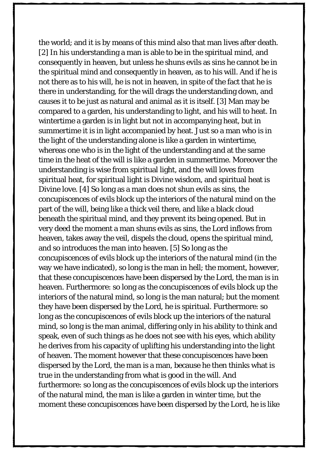the world; and it is by means of this mind also that man lives after death. [2] In his understanding a man is able to be in the spiritual mind, and consequently in heaven, but unless he shuns evils as sins he cannot be in the spiritual mind and consequently in heaven, as to his will. And if he is not there as to his will, he is not in heaven, in spite of the fact that he is there in understanding, for the will drags the understanding down, and causes it to be just as natural and animal as it is itself. [3] Man may be compared to a garden, his understanding to light, and his will to heat. In wintertime a garden is in light but not in accompanying heat, but in summertime it is in light accompanied by heat. Just so a man who is in the light of the understanding alone is like a garden in wintertime, whereas one who is in the light of the understanding and at the same time in the heat of the will is like a garden in summertime. Moreover the understanding is wise from spiritual light, and the will loves from spiritual heat, for spiritual light is Divine wisdom, and spiritual heat is Divine love. [4] So long as a man does not shun evils as sins, the concupiscences of evils block up the interiors of the natural mind on the part of the will, being like a thick veil there, and like a black cloud beneath the spiritual mind, and they prevent its being opened. But in very deed the moment a man shuns evils as sins, the Lord inflows from heaven, takes away the veil, dispels the cloud, opens the spiritual mind, and so introduces the man into heaven. [5] So long as the concupiscences of evils block up the interiors of the natural mind (in the way we have indicated), so long is the man in hell; the moment, however, that these concupiscences have been dispersed by the Lord, the man is in heaven. Furthermore: so long as the concupiscences of evils block up the interiors of the natural mind, so long is the man natural; but the moment they have been dispersed by the Lord, he is spiritual. Furthermore: so long as the concupiscences of evils block up the interiors of the natural mind, so long is the man animal, differing only in his ability to think and speak, even of such things as he does not see with his eyes, which ability he derives from his capacity of uplifting his understanding into the light of heaven. The moment however that these concupiscences have been dispersed by the Lord, the man is a man, because he then thinks what is true in the understanding from what is good in the will. And furthermore: so long as the concupiscences of evils block up the interiors of the natural mind, the man is like a garden in winter time, but the moment these concupiscences have been dispersed by the Lord, he is like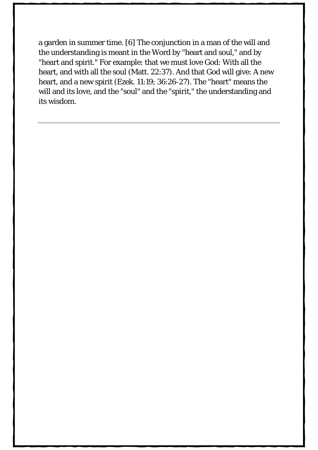a garden in summer time. [6] The conjunction in a man of the will and the understanding is meant in the Word by "heart and soul," and by "heart and spirit." For example: that we must love God: With all the heart, and with all the soul (Matt. 22:37). And that God will give: A new heart, and a new spirit (Ezek. 11:19; 36:26-27). The "heart" means the will and its love, and the "soul" and the "spirit," the understanding and its wisdom.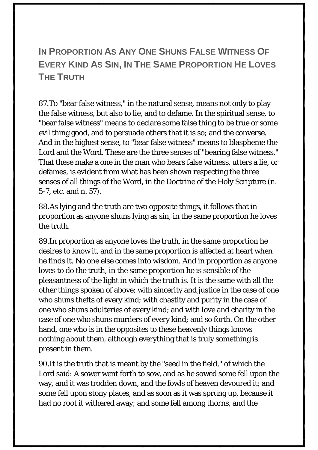#### <span id="page-48-0"></span>**IN PROPORTION AS ANY ONE SHUNS FALSE WITNESS OF EVERY KIND AS SIN, IN THE SAME PROPORTION HE LOVES THE TRUTH**

87.To "bear false witness," in the natural sense, means not only to play the false witness, but also to lie, and to defame. In the spiritual sense, to "bear false witness" means to declare some false thing to be true or some evil thing good, and to persuade others that it is so; and the converse. And in the highest sense, to "bear false witness" means to blaspheme the Lord and the Word. These are the three senses of "bearing false witness." That these make a one in the man who bears false witness, utters a lie, or defames, is evident from what has been shown respecting the three senses of all things of the Word, in the Doctrine of the Holy Scripture (n. 5-7, etc. and n. 57).

88.As lying and the truth are two opposite things, it follows that in proportion as anyone shuns lying as sin, in the same proportion he loves the truth.

89.In proportion as anyone loves the truth, in the same proportion he desires to know it, and in the same proportion is affected at heart when he finds it. No one else comes into wisdom. And in proportion as anyone loves to do the truth, in the same proportion he is sensible of the pleasantness of the light in which the truth is. It is the same with all the other things spoken of above; with sincerity and justice in the case of one who shuns thefts of every kind; with chastity and purity in the case of one who shuns adulteries of every kind; and with love and charity in the case of one who shuns murders of every kind; and so forth. On the other hand, one who is in the opposites to these heavenly things knows nothing about them, although everything that is truly something is present in them.

90.It is the truth that is meant by the "seed in the field," of which the Lord said: A sower went forth to sow, and as he sowed some fell upon the way, and it was trodden down, and the fowls of heaven devoured it; and some fell upon stony places, and as soon as it was sprung up, because it had no root it withered away; and some fell among thorns, and the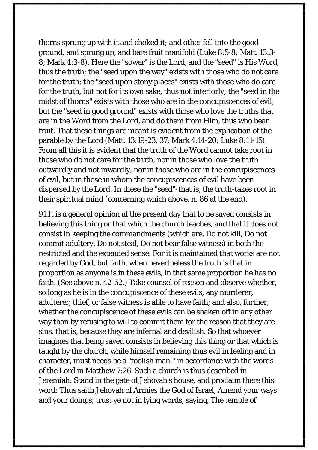thorns sprung up with it and choked it; and other fell into the good ground, and sprung up, and bare fruit manifold (Luke 8:5-8; Matt. 13:3- 8; Mark 4:3-8). Here the "sower" is the Lord, and the "seed" is His Word, thus the truth; the "seed upon the way" exists with those who do not care for the truth; the "seed upon stony places" exists with those who do care for the truth, but not for its own sake, thus not interiorly; the "seed in the midst of thorns" exists with those who are in the concupiscences of evil; but the "seed in good ground" exists with those who love the truths that are in the Word from the Lord, and do them from Him, thus who bear fruit. That these things are meant is evident from the explication of the parable by the Lord (Matt. 13:19-23, 37; Mark 4:14-20; Luke 8:11-15). From all this it is evident that the truth of the Word cannot take root in those who do not care for the truth, nor in those who love the truth outwardly and not inwardly, nor in those who are in the concupiscences of evil, but in those in whom the concupiscences of evil have been dispersed by the Lord. In these the "seed"-that is, the truth-takes root in their spiritual mind (concerning which above, n. 86 at the end).

91.It is a general opinion at the present day that to be saved consists in believing this thing or that which the church teaches, and that it does not consist in keeping the commandments (which are, Do not kill, Do not commit adultery, Do not steal, Do not bear false witness) in both the restricted and the extended sense. For it is maintained that works are not regarded by God, but faith, when nevertheless the truth is that in proportion as anyone is in these evils, in that same proportion he has no faith. (See above n. 42-52.) Take counsel of reason and observe whether, so long as he is in the concupiscence of these evils, any murderer, adulterer, thief, or false witness is able to have faith; and also, further, whether the concupiscence of these evils can be shaken off in any other way than by refusing to will to commit them for the reason that they are sins, that is, because they are infernal and devilish. So that whoever imagines that being saved consists in believing this thing or that which is taught by the church, while himself remaining thus evil in feeling and in character, must needs be a "foolish man," in accordance with the words of the Lord in Matthew 7:26. Such a church is thus described in Jeremiah: Stand in the gate of Jehovah's house, and proclaim there this word: Thus saith Jehovah of Armies the God of Israel, Amend your ways and your doings; trust ye not in lying words, saying, The temple of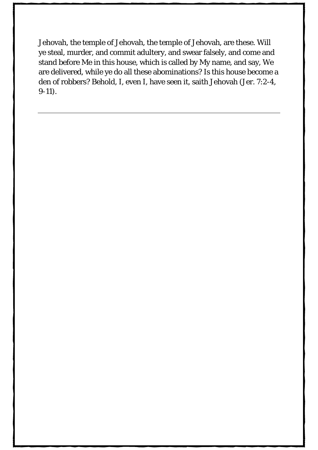Jehovah, the temple of Jehovah, the temple of Jehovah, are these. Will ye steal, murder, and commit adultery, and swear falsely, and come and stand before Me in this house, which is called by My name, and say, We are delivered, while ye do all these abominations? Is this house become a den of robbers? Behold, I, even I, have seen it, saith Jehovah (Jer. 7:2-4, 9-11).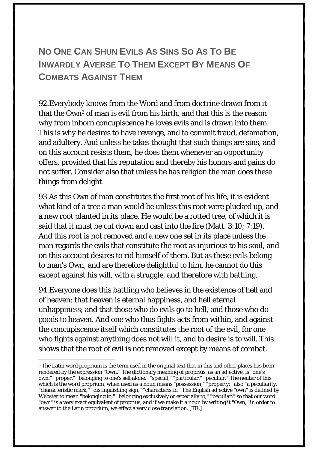#### <span id="page-51-0"></span>**NO ONE CAN SHUN EVILS AS SINS SO AS TO BE INWARDLY AVERSE TO THEM EXCEPT BY MEANS OF COMBATS AGAINST THEM**

92.Everybody knows from the Word and from doctrine drawn from it that the Own[3](#page-51-1) of man is evil from his birth, and that this is the reason why from inborn concupiscence he loves evils and is drawn into them. This is why he desires to have revenge, and to commit fraud, defamation, and adultery. And unless he takes thought that such things are sins, and on this account resists them, he does them whenever an opportunity offers, provided that his reputation and thereby his honors and gains do not suffer. Consider also that unless he has religion the man does these things from delight.

93.As this Own of man constitutes the first root of his life, it is evident what kind of a tree a man would be unless this root were plucked up, and a new root planted in its place. He would be a rotted tree, of which it is said that it must be cut down and cast into the fire (Matt. 3:10; 7:19). And this root is not removed and a new one set in its place unless the man regards the evils that constitute the root as injurious to his soul, and on this account desires to rid himself of them. But as these evils belong to man's Own, and are therefore delightful to him, he cannot do this except against his will, with a struggle, and therefore with battling.

94.Everyone does this battling who believes in the existence of hell and of heaven: that heaven is eternal happiness, and hell eternal unhappiness; and that those who do evils go to hell, and those who do goods to heaven. And one who thus fights acts from within, and against the concupiscence itself which constitutes the root of the evil, for one who fights against anything does not will it, and to desire is to will. This shows that the root of evil is not removed except by means of combat.

-

<span id="page-51-1"></span> $^{\rm 3}$  The Latin word proprium is the term used in the original text that in this and other places has been rendered by the expression "Own." The dictionary meaning of proprius, as an adjective, is "one's own," "proper," "belonging to one's self alone," "special," "particular," "peculiar." The neuter of this which is the word proprium, when used as a noun means "possession," "property;" also "a peculiarity," "characteristic mark," "distinguishing sign," "characteristic." The English adjective "own" is defined by Webster to mean "belonging to," "belonging exclusively or especially to," "peculiar;" so that our word "own" is a very exact equivalent of proprius, and if we make it a noun by writing it "Own," in order to answer to the Latin proprium, we effect a very close translation. [TR.]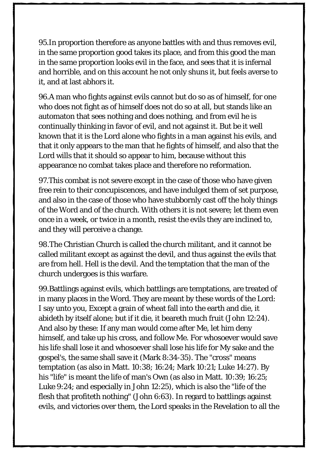95.In proportion therefore as anyone battles with and thus removes evil, in the same proportion good takes its place, and from this good the man in the same proportion looks evil in the face, and sees that it is infernal and horrible, and on this account he not only shuns it, but feels averse to it, and at last abhors it.

96.A man who fights against evils cannot but do so as of himself, for one who does not fight as of himself does not do so at all, but stands like an automaton that sees nothing and does nothing, and from evil he is continually thinking in favor of evil, and not against it. But be it well known that it is the Lord alone who fights in a man against his evils, and that it only appears to the man that he fights of himself, and also that the Lord wills that it should so appear to him, because without this appearance no combat takes place and therefore no reformation.

97.This combat is not severe except in the case of those who have given free rein to their concupiscences, and have indulged them of set purpose, and also in the case of those who have stubbornly cast off the holy things of the Word and of the church. With others it is not severe; let them even once in a week, or twice in a month, resist the evils they are inclined to, and they will perceive a change.

98.The Christian Church is called the church militant, and it cannot be called militant except as against the devil, and thus against the evils that are from hell. Hell is the devil. And the temptation that the man of the church undergoes is this warfare.

99.Battlings against evils, which battlings are temptations, are treated of in many places in the Word. They are meant by these words of the Lord: I say unto you, Except a grain of wheat fall into the earth and die, it abideth by itself alone; but if it die, it beareth much fruit (John 12:24). And also by these: If any man would come after Me, let him deny himself, and take up his cross, and follow Me. For whosoever would save his life shall lose it and whosoever shall lose his life for My sake and the gospel's, the same shall save it (Mark 8:34-35). The "cross" means temptation (as also in Matt. 10:38; 16:24; Mark 10:21; Luke 14:27). By his "life" is meant the life of man's Own (as also in Matt. 10:39; 16:25; Luke 9:24; and especially in John 12:25), which is also the "life of the flesh that profiteth nothing" (John 6:63). In regard to battlings against evils, and victories over them, the Lord speaks in the Revelation to all the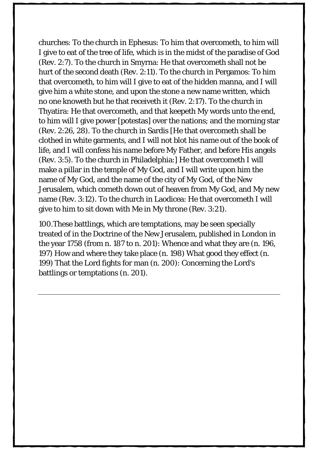churches: To the church in Ephesus: To him that overcometh, to him will I give to eat of the tree of life, which is in the midst of the paradise of God (Rev. 2:7). To the church in Smyrna: He that overcometh shall not be hurt of the second death (Rev. 2:11). To the church in Pergamos: To him that overcometh, to him will I give to eat of the hidden manna, and I will give him a white stone, and upon the stone a new name written, which no one knoweth but he that receiveth it (Rev. 2:17). To the church in Thyatira: He that overcometh, and that keepeth My words unto the end, to him will I give power [potestas] over the nations; and the morning star (Rev. 2:26, 28). To the church in Sardis [He that overcometh shall be clothed in white garments, and I will not blot his name out of the book of life, and I will confess his name before My Father, and before His angels (Rev. 3:5). To the church in Philadelphia:] He that overcometh I will make a pillar in the temple of My God, and I will write upon him the name of My God, and the name of the city of My God, of the New Jerusalem, which cometh down out of heaven from My God, and My new name (Rev. 3:12). To the church in Laodicea: He that overcometh I will give to him to sit down with Me in My throne (Rev. 3:21).

100.These battlings, which are temptations, may be seen specially treated of in the Doctrine of the New Jerusalem, published in London in the year 1758 (from n. 187 to n. 201): Whence and what they are (n. 196, 197) How and where they take place (n. 198) What good they effect (n. 199) That the Lord fights for man (n. 200): Concerning the Lord's battlings or temptations (n. 201).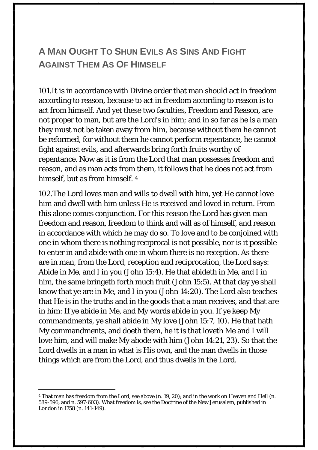#### <span id="page-54-0"></span>**A MAN OUGHT TO SHUN EVILS AS SINS AND FIGHT AGAINST THEM AS OF HIMSELF**

101.It is in accordance with Divine order that man should act in freedom according to reason, because to act in freedom according to reason is to act from himself. And yet these two faculties, Freedom and Reason, are not proper to man, but are the Lord's in him; and in so far as he is a man they must not be taken away from him, because without them he cannot be reformed, for without them he cannot perform repentance, he cannot fight against evils, and afterwards bring forth fruits worthy of repentance. Now as it is from the Lord that man possesses freedom and reason, and as man acts from them, it follows that he does not act from himself, but as from himself. [4](#page-54-1)

102.The Lord loves man and wills to dwell with him, yet He cannot love him and dwell with him unless He is received and loved in return. From this alone comes conjunction. For this reason the Lord has given man freedom and reason, freedom to think and will as of himself, and reason in accordance with which he may do so. To love and to be conjoined with one in whom there is nothing reciprocal is not possible, nor is it possible to enter in and abide with one in whom there is no reception. As there are in man, from the Lord, reception and reciprocation, the Lord says: Abide in Me, and I in you (John 15:4). He that abideth in Me, and I in him, the same bringeth forth much fruit (John 15:5). At that day ye shall know that ye are in Me, and I in you (John 14:20). The Lord also teaches that He is in the truths and in the goods that a man receives, and that are in him: If ye abide in Me, and My words abide in you. If ye keep My commandments, ye shall abide in My love (John 15:7, 10). He that hath My commandments, and doeth them, he it is that loveth Me and I will love him, and will make My abode with him (John 14:21, 23). So that the Lord dwells in a man in what is His own, and the man dwells in those things which are from the Lord, and thus dwells in the Lord.

<u>.</u>

<span id="page-54-1"></span><sup>4</sup> That man has freedom from the Lord, see above (n. 19, 20); and in the work on Heaven and Hell (n. 589-596, and n. 597-603). What freedom is, see the Doctrine of the New Jerusalem, published in London in 1758 (n. 141-149).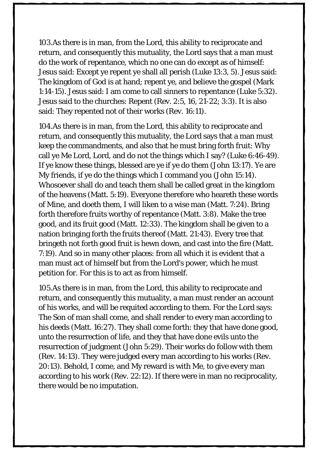103.As there is in man, from the Lord, this ability to reciprocate and return, and consequently this mutuality, the Lord says that a man must do the work of repentance, which no one can do except as of himself: Jesus said: Except ye repent ye shall all perish (Luke 13:3, 5). Jesus said: The kingdom of God is at hand; repent ye, and believe the gospel (Mark 1:14-15). Jesus said: I am come to call sinners to repentance (Luke 5:32). Jesus said to the churches: Repent (Rev. 2:5, 16, 21-22; 3:3). It is also said: They repented not of their works (Rev. 16:11).

104.As there is in man, from the Lord, this ability to reciprocate and return, and consequently this mutuality, the Lord says that a man must keep the commandments, and also that he must bring forth fruit: Why call ye Me Lord, Lord, and do not the things which I say? (Luke 6:46-49). If ye know these things, blessed are ye if ye do them (John 13:17). Ye are My friends, if ye do the things which I command you (John 15:14). Whosoever shall do and teach them shall be called great in the kingdom of the heavens (Matt. 5:19). Everyone therefore who heareth these words of Mine, and doeth them, I will liken to a wise man (Matt. 7:24). Bring forth therefore fruits worthy of repentance (Matt. 3:8). Make the tree good, and its fruit good (Matt. 12:33). The kingdom shall be given to a nation bringing forth the fruits thereof (Matt. 21:43). Every tree that bringeth not forth good fruit is hewn down, and cast into the fire (Matt. 7:19). And so in many other places: from all which it is evident that a man must act of himself but from the Lord's power, which he must petition for. For this is to act as from himself.

105.As there is in man, from the Lord, this ability to reciprocate and return, and consequently this mutuality, a man must render an account of his works, and will be requited according to them. For the Lord says: The Son of man shall come, and shall render to every man according to his deeds (Matt. 16:27). They shall come forth: they that have done good, unto the resurrection of life, and they that have done evils unto the resurrection of judgment (John 5:29). Their works do follow with them (Rev. 14:13). They were judged every man according to his works (Rev. 20:13). Behold, I come, and My reward is with Me, to give every man according to his work (Rev. 22:12). If there were in man no reciprocality, there would be no imputation.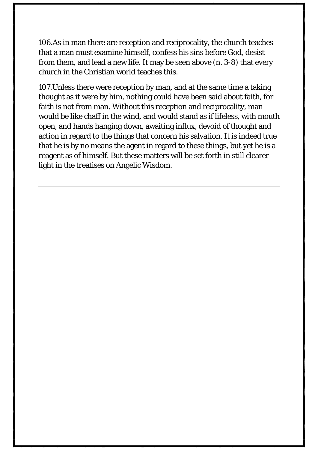106.As in man there are reception and reciprocality, the church teaches that a man must examine himself, confess his sins before God, desist from them, and lead a new life. It may be seen above (n. 3-8) that every church in the Christian world teaches this.

107.Unless there were reception by man, and at the same time a taking thought as it were by him, nothing could have been said about faith, for faith is not from man. Without this reception and reciprocality, man would be like chaff in the wind, and would stand as if lifeless, with mouth open, and hands hanging down, awaiting influx, devoid of thought and action in regard to the things that concern his salvation. It is indeed true that he is by no means the agent in regard to these things, but yet he is a reagent as of himself. But these matters will be set forth in still clearer light in the treatises on Angelic Wisdom.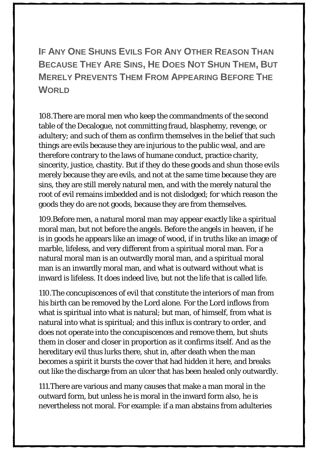#### <span id="page-57-0"></span>**IF ANY ONE SHUNS EVILS FOR ANY OTHER REASON THAN BECAUSE THEY ARE SINS, HE DOES NOT SHUN THEM, BUT MERELY PREVENTS THEM FROM APPEARING BEFORE THE WORLD**

108.There are moral men who keep the commandments of the second table of the Decalogue, not committing fraud, blasphemy, revenge, or adultery; and such of them as confirm themselves in the belief that such things are evils because they are injurious to the public weal, and are therefore contrary to the laws of humane conduct, practice charity, sincerity, justice, chastity. But if they do these goods and shun those evils merely because they are evils, and not at the same time because they are sins, they are still merely natural men, and with the merely natural the root of evil remains imbedded and is not dislodged; for which reason the goods they do are not goods, because they are from themselves.

109.Before men, a natural moral man may appear exactly like a spiritual moral man, but not before the angels. Before the angels in heaven, if he is in goods he appears like an image of wood, if in truths like an image of marble, lifeless, and very different from a spiritual moral man. For a natural moral man is an outwardly moral man, and a spiritual moral man is an inwardly moral man, and what is outward without what is inward is lifeless. It does indeed live, but not the life that is called life.

110.The concupiscences of evil that constitute the interiors of man from his birth can be removed by the Lord alone. For the Lord inflows from what is spiritual into what is natural; but man, of himself, from what is natural into what is spiritual; and this influx is contrary to order, and does not operate into the concupiscences and remove them, but shuts them in closer and closer in proportion as it confirms itself. And as the hereditary evil thus lurks there, shut in, after death when the man becomes a spirit it bursts the cover that had hidden it here, and breaks out like the discharge from an ulcer that has been healed only outwardly.

111.There are various and many causes that make a man moral in the outward form, but unless he is moral in the inward form also, he is nevertheless not moral. For example: if a man abstains from adulteries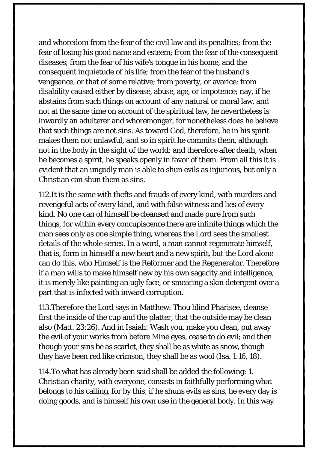and whoredom from the fear of the civil law and its penalties; from the fear of losing his good name and esteem; from the fear of the consequent diseases; from the fear of his wife's tongue in his home, and the consequent inquietude of his life; from the fear of the husband's vengeance, or that of some relative; from poverty, or avarice; from disability caused either by disease, abuse, age, or impotence; nay, if he abstains from such things on account of any natural or moral law, and not at the same time on account of the spiritual law, he nevertheless is inwardly an adulterer and whoremonger, for nonetheless does he believe that such things are not sins. As toward God, therefore, he in his spirit makes them not unlawful, and so in spirit he commits them, although not in the body in the sight of the world; and therefore after death, when he becomes a spirit, he speaks openly in favor of them. From all this it is evident that an ungodly man is able to shun evils as injurious, but only a Christian can shun them as sins.

112.It is the same with thefts and frauds of every kind, with murders and revengeful acts of every kind, and with false witness and lies of every kind. No one can of himself be cleansed and made pure from such things, for within every concupiscence there are infinite things which the man sees only as one simple thing, whereas the Lord sees the smallest details of the whole series. In a word, a man cannot regenerate himself, that is, form in himself a new heart and a new spirit, but the Lord alone can do this, who Himself is the Reformer and the Regenerator. Therefore if a man wills to make himself new by his own sagacity and intelligence, it is merely like painting an ugly face, or smearing a skin detergent over a part that is infected with inward corruption.

113.Therefore the Lord says in Matthew: Thou blind Pharisee, cleanse first the inside of the cup and the platter, that the outside may be clean also (Matt. 23:26). And in Isaiah: Wash you, make you clean, put away the evil of your works from before Mine eyes, cease to do evil; and then though your sins be as scarlet, they shall be as white as snow, though they have been red like crimson, they shall be as wool (Isa. 1:16, 18).

114.To what has already been said shall be added the following: 1. Christian charity, with everyone, consists in faithfully performing what belongs to his calling, for by this, if he shuns evils as sins, he every day is doing goods, and is himself his own use in the general body. In this way